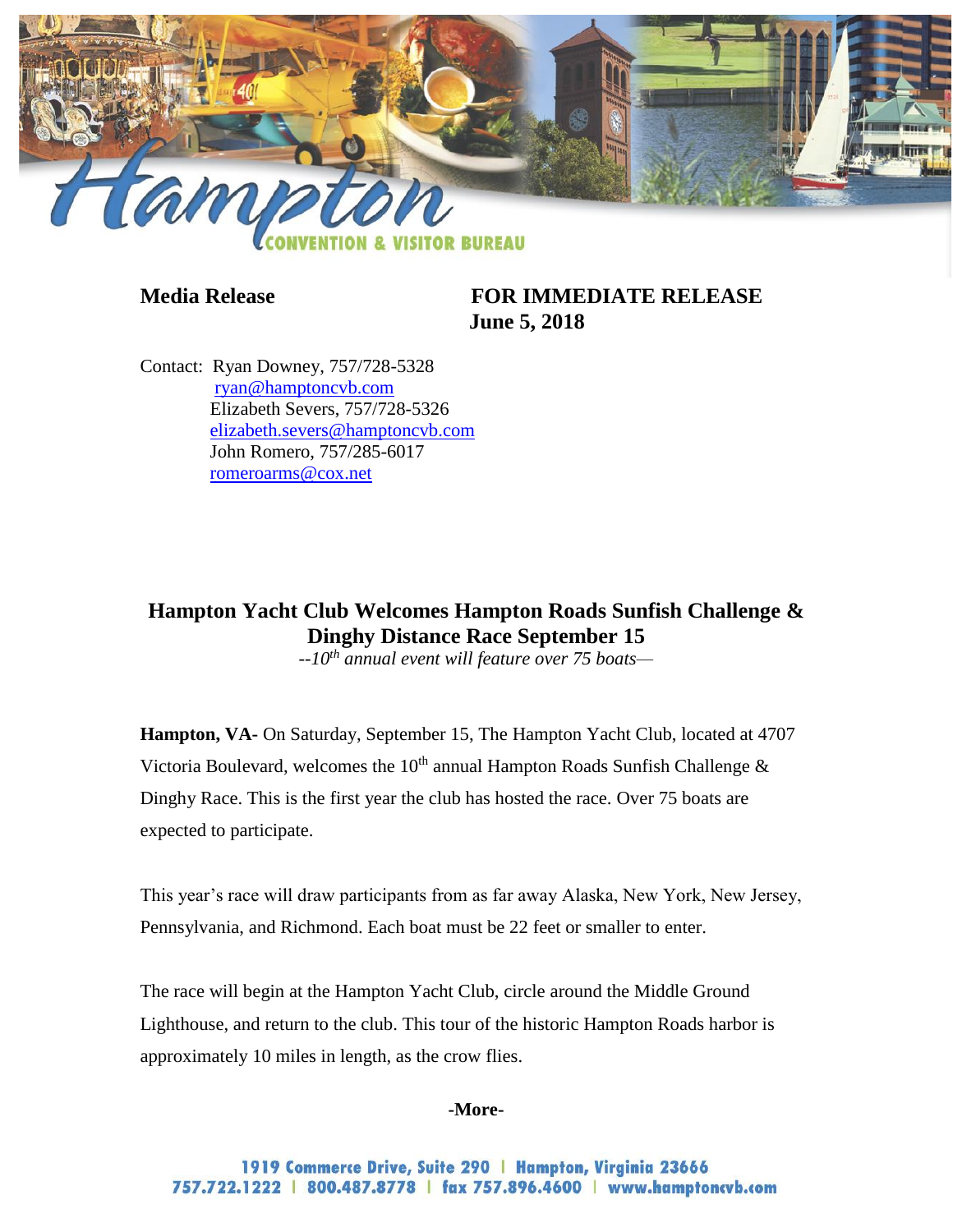

# **Media Release FOR IMMEDIATE RELEASE June 5, 2018**

Contact: Ryan Downey, 757/728-5328 [ryan@hamptoncvb.com](mailto:ryan@hamptoncvb.com) Elizabeth Severs, 757/728-5326 [elizabeth.severs@hamptoncvb.com](mailto:elizabeth.severs@hamptoncvb.com) John Romero, 757/285-6017 [romeroarms@cox.net](mailto:romeroarms@cox.net)

**Hampton Yacht Club Welcomes Hampton Roads Sunfish Challenge & Dinghy Distance Race September 15**

*--10th annual event will feature over 75 boats—*

**Hampton, VA-** On Saturday, September 15, The Hampton Yacht Club, located at 4707 Victoria Boulevard, welcomes the 10<sup>th</sup> annual Hampton Roads Sunfish Challenge  $\&$ Dinghy Race. This is the first year the club has hosted the race. Over 75 boats are expected to participate.

This year's race will draw participants from as far away Alaska, New York, New Jersey, Pennsylvania, and Richmond. Each boat must be 22 feet or smaller to enter.

The race will begin at the Hampton Yacht Club, circle around the Middle Ground Lighthouse, and return to the club. This tour of the historic Hampton Roads harbor is approximately 10 miles in length, as the crow flies.

### **-More-**